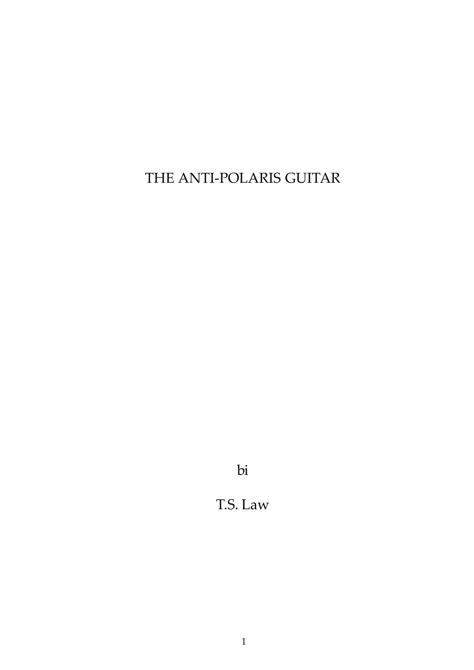THE ANTI-POLARIS GUITAR

bi

# T.S. Law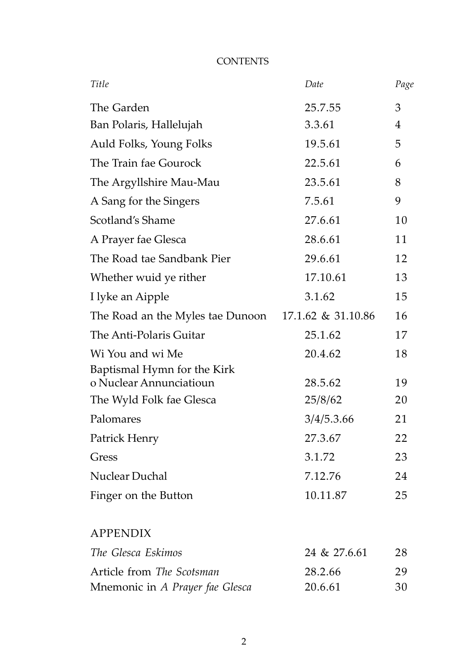| Title                                                  | Date               | Page |
|--------------------------------------------------------|--------------------|------|
| The Garden                                             | 25.7.55            | 3    |
| Ban Polaris, Hallelujah                                | 3.3.61             | 4    |
| Auld Folks, Young Folks                                | 19.5.61            | 5    |
| The Train fae Gourock                                  | 22.5.61            | 6    |
| The Argyllshire Mau-Mau                                | 23.5.61            | 8    |
| A Sang for the Singers                                 | 7.5.61             | 9    |
| Scotland's Shame                                       | 27.6.61            | 10   |
| A Prayer fae Glesca                                    | 28.6.61            | 11   |
| The Road tae Sandbank Pier                             | 29.6.61            | 12   |
| Whether wuid ye rither                                 | 17.10.61           | 13   |
| I lyke an Aipple                                       | 3.1.62             | 15   |
| The Road an the Myles tae Dunoon                       | 17.1.62 & 31.10.86 | 16   |
| The Anti-Polaris Guitar                                | 25.1.62            | 17   |
| Wi You and wi Me                                       | 20.4.62            | 18   |
| Baptismal Hymn for the Kirk<br>o Nuclear Annunciatioun | 28.5.62            | 19   |
| The Wyld Folk fae Glesca                               | 25/8/62            | 20   |
| Palomares                                              | 3/4/5.3.66         | 21   |
| Patrick Henry                                          | 27.3.67            | 22   |
| Gress                                                  | 3.1.72             | 23   |
| Nuclear Duchal                                         | 7.12.76            | 24   |
| Finger on the Button                                   | 10.11.87           | 25   |
| <b>APPENDIX</b>                                        |                    |      |
| The Glesca Eskimos                                     | 24 & 27.6.61       | 28   |
| Article from The Scotsman                              | 28.2.66            | 29   |
| Mnemonic in A Prayer fae Glesca                        | 20.6.61            | 30   |

# **CONTENTS**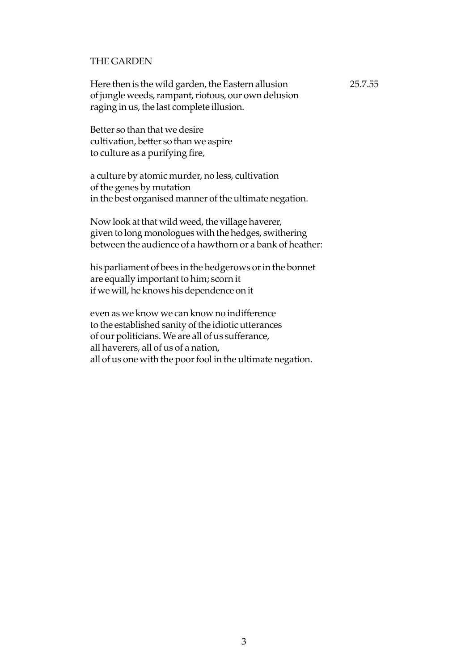# THE GARDEN

Here then is the wild garden, the Eastern allusion 25.7.55 of jungle weeds, rampant, riotous, our own delusion raging in us, the last complete illusion.

Better so than that we desire cultivation, better so than we aspire to culture as a purifying fire,

a culture by atomic murder, no less, cultivation of the genes by mutation in the best organised manner of the ultimate negation.

Now look at that wild weed, the village haverer, given to long monologues with the hedges, swithering between the audience of a hawthorn or a bank of heather:

his parliament of bees in the hedgerows or in the bonnet are equally important to him; scorn it if we will, he knows his dependence on it

even as we know we can know no indifference to the established sanity of the idiotic utterances of our politicians. We are all of us sufferance, all haverers, all of us of a nation, all of us one with the poor fool in the ultimate negation.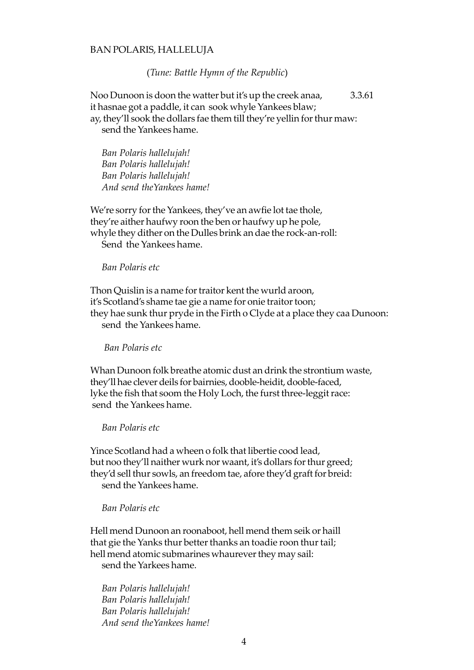#### BAN POLARIS, HALLELUJA

#### (*Tune: Battle Hymn of the Republic*)

Noo Dunoon is doon the watter but it's up the creek anaa, 3.3.61 it hasnae got a paddle, it can sook whyle Yankees blaw; ay, they'll sook the dollars fae them till they're yellin for thur maw: send the Yankees hame.

*Ban Polaris hallelujah! Ban Polaris hallelujah! Ban Polaris hallelujah! And send theYankees hame!*

We're sorry for the Yankees, they've an awfie lot tae thole, they're aither haufwy roon the ben or haufwy up he pole, whyle they dither on the Dulles brink an dae the rock-an-roll: Send the Yankees hame.

## *Ban Polaris etc*

Thon Quislin is a name for traitor kent the wurld aroon, it's Scotland's shame tae gie a name for onie traitor toon; they hae sunk thur pryde in the Firth o Clyde at a place they caa Dunoon: send the Yankees hame.

## *Ban Polaris etc*

Whan Dunoon folk breathe atomic dust an drink the strontium waste, they'll hae clever deils for bairnies, dooble-heidit, dooble-faced, lyke the fish that soom the Holy Loch, the furst three-leggit race: send the Yankees hame.

# *Ban Polaris etc*

Yince Scotland had a wheen o folk that libertie cood lead, but noo they'll naither wurk nor waant, it's dollars for thur greed; they'd sell thur sowls, an freedom tae, afore they'd graft for breid: send the Yankees hame.

#### *Ban Polaris etc*

Hell mend Dunoon an roonaboot, hell mend them seik or haill that gie the Yanks thur better thanks an toadie roon thur tail; hell mend atomic submarines whaurever they may sail: send the Yarkees hame.

*Ban Polaris hallelujah! Ban Polaris hallelujah! Ban Polaris hallelujah! And send theYankees hame!*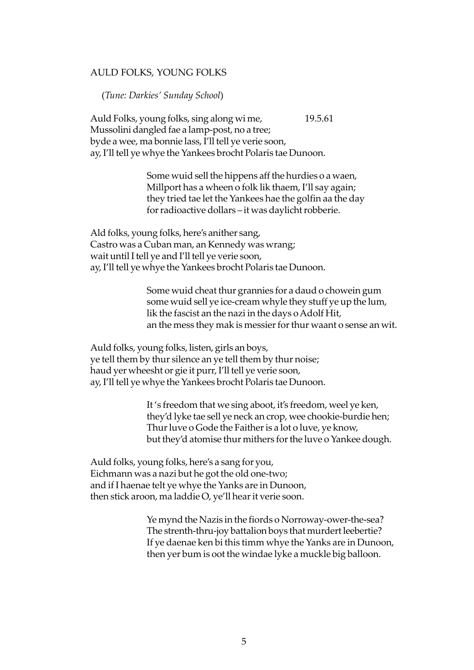# AULD FOLKS, YOUNG FOLKS

(*Tune: Darkies' Sunday School*)

Auld Folks, young folks, sing along wi me, 19.5.61 Mussolini dangled fae a lamp-post, no a tree; byde a wee, ma bonnie lass, I'll tell ye verie soon, ay, I'll tell ye whye the Yankees brocht Polaris tae Dunoon.

> Some wuid sell the hippens aff the hurdies o a waen, Millport has a wheen o folk lik thaem, I'll say again; they tried tae let the Yankees hae the golfin aa the day for radioactive dollars – it was daylicht robberie.

Ald folks, young folks, here's anither sang, Castro was a Cuban man, an Kennedy was wrang; wait until I tell ye and I'll tell ye verie soon, ay, I'll tell ye whye the Yankees brocht Polaris tae Dunoon.

> Some wuid cheat thur grannies for a daud o chowein gum some wuid sell ye ice-cream whyle they stuff ye up the lum, lik the fascist an the nazi in the days o Adolf Hit, an the mess they mak is messier for thur waant o sense an wit.

Auld folks, young folks, listen, girls an boys, ye tell them by thur silence an ye tell them by thur noise; haud yer wheesht or gie it purr, I'll tell ye verie soon, ay, I'll tell ye whye the Yankees brocht Polaris tae Dunoon.

> It 's freedom that we sing aboot, it's freedom, weel ye ken, they'd lyke tae sell ye neck an crop, wee chookie-burdie hen; Thur luve o Gode the Faither is a lot o luve, ye know, but they'd atomise thur mithers for the luve o Yankee dough.

Auld folks, young folks, here's a sang for you, Eichmann was a nazi but he got the old one-two; and if I haenae telt ye whye the Yanks are in Dunoon, then stick aroon, ma laddie O, ye'll hear it verie soon.

> Ye mynd the Nazis in the fiords o Norroway-ower-the-sea? The strenth-thru-joy battalion boys that murdert leebertie? If ye daenae ken bi this timm whye the Yanks are in Dunoon, then yer bum is oot the windae lyke a muckle big balloon.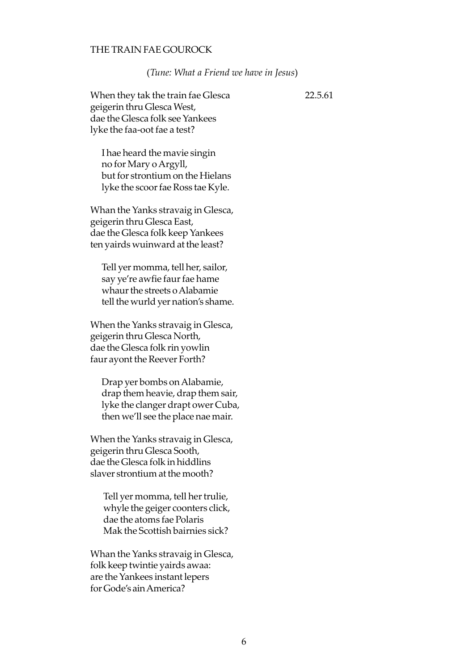# THE TRAIN FAE GOUROCK

#### (*Tune: What a Friend we have in Jesus*)

When they tak the train fae Glesca 22.5.61 geigerin thru Glesca West, dae the Glesca folk see Yankees lyke the faa-oot fae a test?

I hae heard the mavie singin no for Mary o Argyll, but for strontium on the Hielans lyke the scoor fae Ross tae Kyle.

Whan the Yanks stravaig in Glesca, geigerin thru Glesca East, dae the Glesca folk keep Yankees ten yairds wuinward at the least?

Tell yer momma, tell her, sailor, say ye're awfie faur fae hame whaur the streets o Alabamie tell the wurld yer nation's shame.

When the Yanks stravaig in Glesca, geigerin thru Glesca North, dae the Glesca folk rin yowlin faur ayont the Reever Forth?

Drap yer bombs on Alabamie, drap them heavie, drap them sair, lyke the clanger drapt ower Cuba, then we'll see the place nae mair.

When the Yanks stravaig in Glesca, geigerin thru Glesca Sooth, dae the Glesca folk in hiddlins slaver strontium at the mooth?

 Tell yer momma, tell her trulie, whyle the geiger coonters click, dae the atoms fae Polaris Mak the Scottish bairnies sick?

Whan the Yanks stravaig in Glesca, folk keep twintie yairds awaa: are the Yankees instant lepers for Gode's ain America?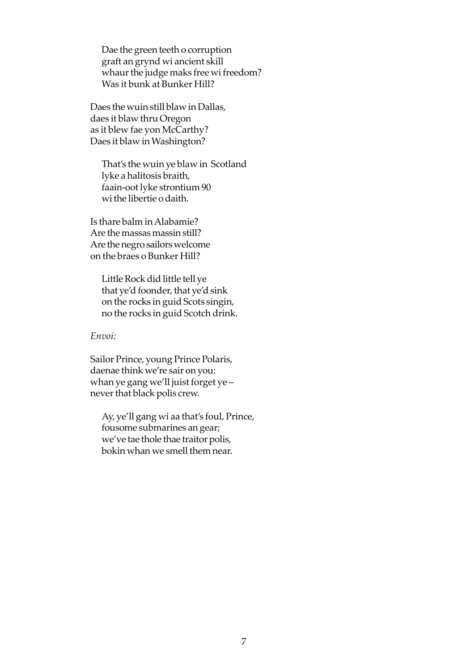Dae the green teeth o corruption graft an grynd wi ancient skill whaur the judge maks free wi freedom? Was it bunk at Bunker Hill?

Daes the wuin still blaw in Dallas, daes it blaw thru Oregon as it blew fae yon McCarthy? Daes it blaw in Washington?

That's the wuin ye blaw in Scotland lyke a halitosis braith, faain-oot lyke strontium 90 wi the libertie o daith.

Is thare balm in Alabamie? Are the massas massin still? Are the negro sailors welcome on the braes o Bunker Hill?

Little Rock did little tell ye that ye'd foonder, that ye'd sink on the rocks in guid Scots singin, no the rocks in guid Scotch drink.

*Envoi:*

Sailor Prince, young Prince Polaris, daenae think we're sair on you: whan ye gang we'll juist forget ye – never that black polis crew.

Ay, ye'll gang wi aa that's foul, Prince, fousome submarines an gear; we've tae thole thae traitor polis, bokin whan we smell them near.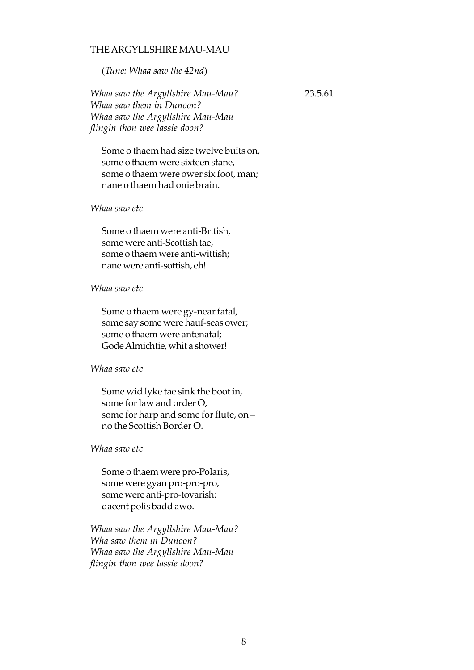# THE ARGYLLSHIRE MAU-MAU

(*Tune: Whaa saw the 42nd*)

*Whaa saw the Argyllshire Mau-Mau?* 23.5.61 *Whaa saw them in Dunoon? Whaa saw the Argyllshire Mau-Mau flingin thon wee lassie doon?*

Some o thaem had size twelve buits on, some o thaem were sixteen stane, some o thaem were ower six foot, man; nane o thaem had onie brain.

#### *Whaa saw etc*

Some o thaem were anti-British, some were anti-Scottish tae, some o thaem were anti-wittish; nane were anti-sottish, eh!

#### *Whaa saw etc*

Some o thaem were gy-near fatal, some say some were hauf-seas ower; some o thaem were antenatal; Gode Almichtie, whit a shower!

## *Whaa saw etc*

Some wid lyke tae sink the boot in, some for law and order O, some for harp and some for flute, on – no the Scottish Border O.

#### *Whaa saw etc*

Some o thaem were pro-Polaris, some were gyan pro-pro-pro, some were anti-pro-tovarish: dacent polis badd awo.

*Whaa saw the Argyllshire Mau-Mau? Wha saw them in Dunoon? Whaa saw the Argyllshire Mau-Mau flingin thon wee lassie doon?*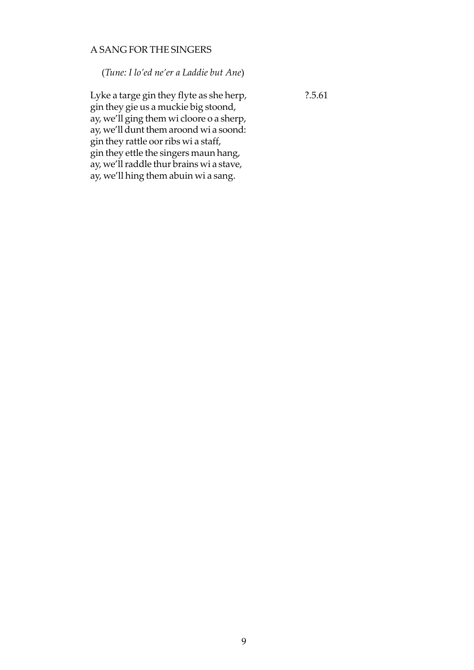# A SANG FOR THE SINGERS

(*Tune: I lo'ed ne'er a Laddie but Ane*)

Lyke a targe gin they flyte as she herp,  $2.5.61$ gin they gie us a muckie big stoond, ay, we'll ging them wi cloore o a sherp, ay, we'll dunt them aroond wi a soond: gin they rattle oor ribs wi a staff, gin they ettle the singers maun hang, ay, we'll raddle thur brains wi a stave, ay, we'll hing them abuin wi a sang.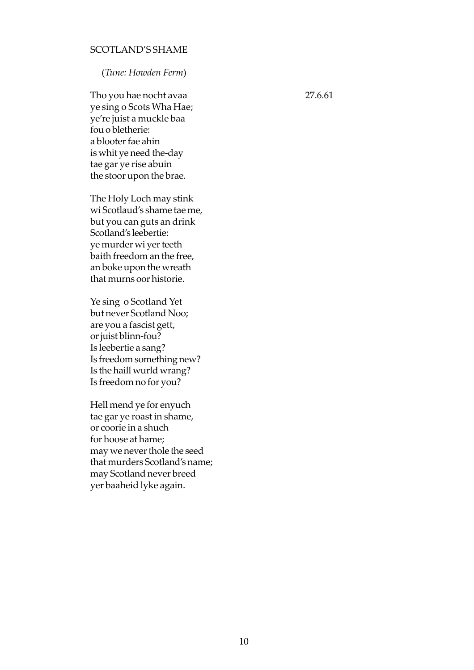# SCOTLAND'S SHAME

(*Tune: Howden Ferm*)

Tho you hae nocht avaa 27.6.61 ye sing o Scots Wha Hae; ye're juist a muckle baa fou o bletherie: a blooter fae ahin is whit ye need the-day tae gar ye rise abuin the stoor upon the brae.

The Holy Loch may stink wi Scotlaud's shame tae me, but you can guts an drink Scotland's leebertie: ye murder wi yer teeth baith freedom an the free, an boke upon the wreath that murns oor historie.

Ye sing o Scotland Yet but never Scotland Noo; are you a fascist gett, or juist blinn-fou? Is leebertie a sang? Is freedom something new? Is the haill wurld wrang? Is freedom no for you?

Hell mend ye for enyuch tae gar ye roast in shame, or coorie in a shuch for hoose at hame; may we never thole the seed that murders Scotland's name; may Scotland never breed yer baaheid lyke again.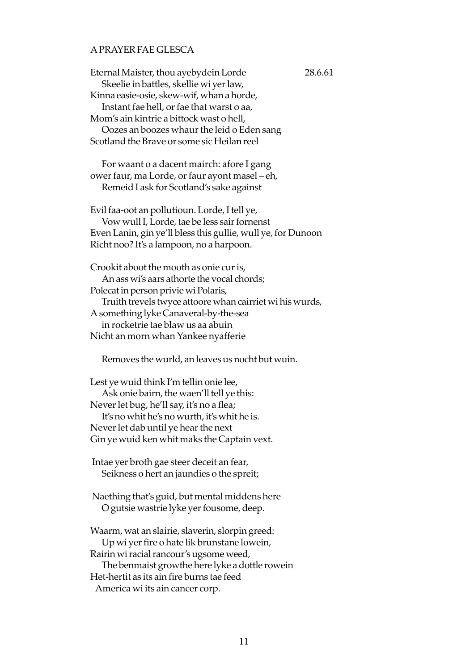# A PRAYER FAE GLESCA

Eternal Maister, thou ayebydein Lorde 28.6.61 Skeelie in battles, skellie wi yer law, Kinna easie-osie, skew-wif, whan a horde, Instant fae hell, or fae that warst o aa, Mom's ain kintrie a bittock wast o hell, Oozes an boozes whaur the leid o Eden sang Scotland the Brave or some sic Heilan reel For waant o a dacent mairch: afore I gang ower faur, ma Lorde, or faur ayont masel – eh, Remeid I ask for Scotland's sake against Evil faa-oot an pollutioun. Lorde, I tell ye, Vow wull I, Lorde, tae be less sair fornenst Even Lanin, gin ye'll bless this gullie, wull ye, for Dunoon Richt noo? It's a lampoon, no a harpoon. Crookit aboot the mooth as onie cur is, An ass wi's aars athorte the vocal chords; Polecat in person privie wi Polaris, Truith trevels twyce attoore whan cairriet wi his wurds, A something lyke Canaveral-by-the-sea in rocketrie tae blaw us aa abuin Nicht an morn whan Yankee nyafferie

Removes the wurld, an leaves us nocht but wuin.

Lest ye wuid think I'm tellin onie lee, Ask onie bairn, the waen'll tell ye this: Never let bug, he'll say, it's no a flea; It's no whit he's no wurth, it's whit he is. Never let dab until ye hear the next Gin ye wuid ken whit maks the Captain vext.

 Intae yer broth gae steer deceit an fear, Seikness o hert an jaundies o the spreit;

 Naething that's guid, but mental middens here O gutsie wastrie lyke yer fousome, deep.

Waarm, wat an slairie, slaverin, slorpin greed: Up wi yer fire o hate lik brunstane lowein, Rairin wi racial rancour's ugsome weed, The benmaist growthe here lyke a dottle rowein Het-hertit as its ain fire burns tae feed America wi its ain cancer corp.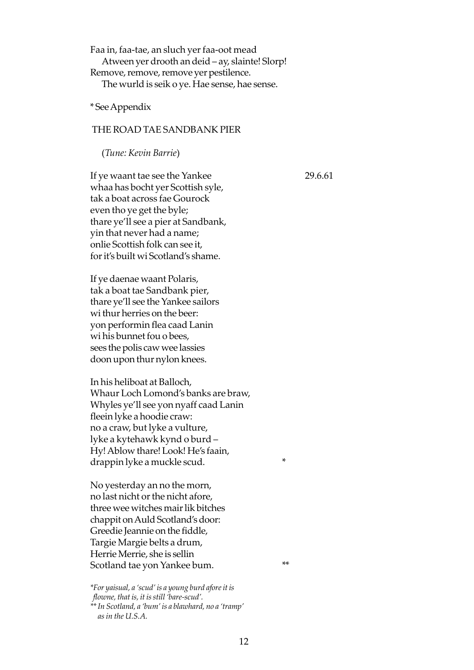Faa in, faa-tae, an sluch yer faa-oot mead Atween yer drooth an deid – ay, slainte! Slorp! Remove, remove, remove yer pestilence. The wurld is seik o ye. Hae sense, hae sense.

\* See Appendix

## THE ROAD TAE SANDBANK PIER

(*Tune: Kevin Barrie*)

If ye waant tae see the Yankee 29.6.61 whaa has bocht yer Scottish syle, tak a boat across fae Gourock even tho ye get the byle; thare ye'll see a pier at Sandbank, yin that never had a name; onlie Scottish folk can see it, for it's built wi Scotland's shame.

If ye daenae waant Polaris, tak a boat tae Sandbank pier, thare ye'll see the Yankee sailors wi thur herries on the beer: yon performin flea caad Lanin wi his bunnet fou o bees, sees the polis caw wee lassies doon upon thur nylon knees.

In his heliboat at Balloch, Whaur Loch Lomond's banks are braw, Whyles ye'll see yon nyaff caad Lanin fleein lyke a hoodie craw: no a craw, but lyke a vulture, lyke a kytehawk kynd o burd – Hy! Ablow thare! Look! He's faain, drappin lyke a muckle scud.

No yesterday an no the morn, no last nicht or the nicht afore, three wee witches mair lik bitches chappit on Auld Scotland's door: Greedie Jeannie on the fiddle, Targie Margie belts a drum, Herrie Merrie, she is sellin Scotland tae yon Yankee bum.

*\*For yaisual, a 'scud' is a young burd afore it is flowne, that is, it is still 'bare-scud'. \*\* In Scotland, a 'bum' is a blawhard, no a 'tramp' as in the U.S.A.*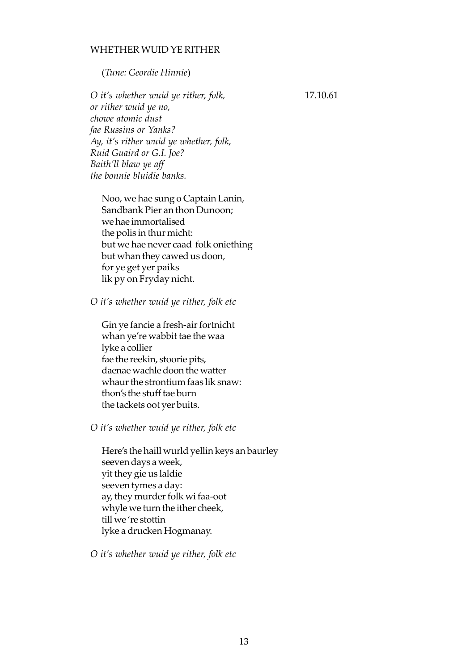# WHETHER WUID YE RITHER

(*Tune: Geordie Hinnie*)

*O it's whether wuid ye rither, folk,* 17.10.61 *or rither wuid ye no, chowe atomic dust fae Russins or Yanks? Ay, it's rither wuid ye whether, folk, Ruid Guaird or G.I. Joe? Baith'll blaw ye aff the bonnie bluidie banks.*

Noo, we hae sung o Captain Lanin, Sandbank Pier an thon Dunoon; we hae immortalised the polis in thur micht: but we hae never caad folk oniething but whan they cawed us doon, for ye get yer paiks lik py on Fryday nicht.

*O it's whether wuid ye rither, folk etc*

Gin ye fancie a fresh-air fortnicht whan ye're wabbit tae the waa lyke a collier fae the reekin, stoorie pits, daenae wachle doon the watter whaur the strontium faas lik snaw: thon's the stuff tae burn the tackets oot yer buits.

*O it's whether wuid ye rither, folk etc*

Here's the haill wurld yellin keys an baurley seeven days a week, yit they gie us laldie seeven tymes a day: ay, they murder folk wi faa-oot whyle we turn the ither cheek, till we 're stottin lyke a drucken Hogmanay.

*O it's whether wuid ye rither, folk etc*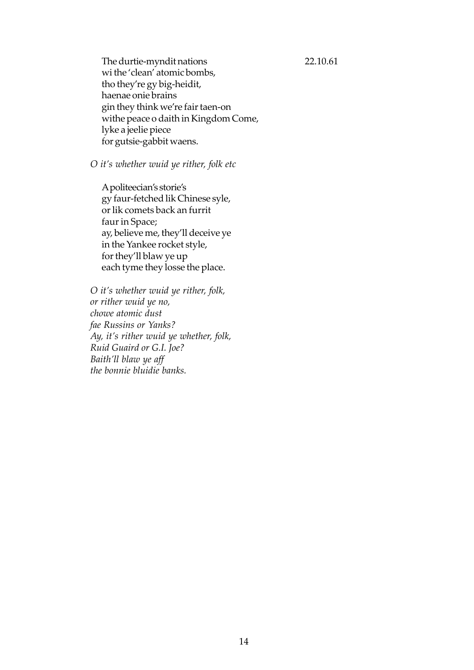The durtie-myndit nations 22.10.61 wi the 'clean' atomic bombs, tho they're gy big-heidit, haenae onie brains gin they think we're fair taen-on withe peace o daith in Kingdom Come, lyke a jeelie piece for gutsie-gabbit waens.

*O it's whether wuid ye rither, folk etc*

A politeecian's storie's gy faur-fetched lik Chinese syle, or lik comets back an furrit faur in Space; ay, believe me, they'll deceive ye in the Yankee rocket style, for they'll blaw ye up each tyme they losse the place.

*O it's whether wuid ye rither, folk, or rither wuid ye no, chowe atomic dust fae Russins or Yanks? Ay, it's rither wuid ye whether, folk, Ruid Guaird or G.I. Joe? Baith'll blaw ye aff the bonnie bluidie banks.*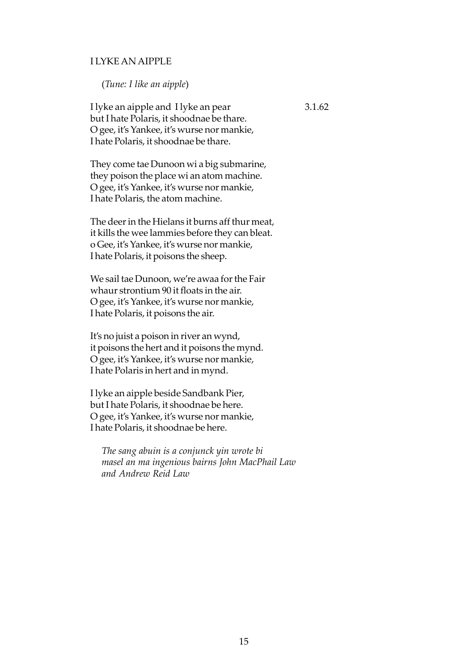# I LYKE AN AIPPLE

(*Tune: I like an aipple*)

I lyke an aipple and I lyke an pear 3.1.62 but I hate Polaris, it shoodnae be thare. O gee, it's Yankee, it's wurse nor mankie, I hate Polaris, it shoodnae be thare.

They come tae Dunoon wi a big submarine, they poison the place wi an atom machine. O gee, it's Yankee, it's wurse nor mankie, I hate Polaris, the atom machine.

The deer in the Hielans it burns aff thur meat, it kills the wee lammies before they can bleat. o Gee, it's Yankee, it's wurse nor mankie, I hate Polaris, it poisons the sheep.

We sail tae Dunoon, we're awaa for the Fair whaur strontium 90 it floats in the air. O gee, it's Yankee, it's wurse nor mankie, I hate Polaris, it poisons the air.

It's no juist a poison in river an wynd, it poisons the hert and it poisons the mynd. O gee, it's Yankee, it's wurse nor mankie, I hate Polaris in hert and in mynd.

I lyke an aipple beside Sandbank Pier, but I hate Polaris, it shoodnae be here. O gee, it's Yankee, it's wurse nor mankie, I hate Polaris, it shoodnae be here.

*The sang abuin is a conjunck yin wrote bi masel an ma ingenious bairns John MacPhail Law and Andrew Reid Law*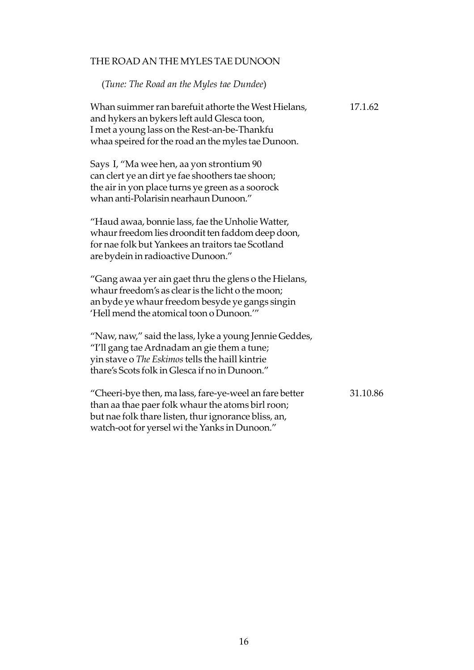# THE ROAD AN THE MYLES TAE DUNOON

## (*Tune: The Road an the Myles tae Dundee*)

Whan suimmer ran barefuit athorte the West Hielans, 17.1.62 and hykers an bykers left auld Glesca toon, I met a young lass on the Rest-an-be-Thankfu whaa speired for the road an the myles tae Dunoon. Says I, "Ma wee hen, aa yon strontium 90 can clert ye an dirt ye fae shoothers tae shoon; the air in yon place turns ye green as a soorock whan anti-Polarisin nearhaun Dunoon." "Haud awaa, bonnie lass, fae the Unholie Watter, whaur freedom lies droondit ten faddom deep doon, for nae folk but Yankees an traitors tae Scotland are bydein in radioactive Dunoon." "Gang awaa yer ain gaet thru the glens o the Hielans, whaur freedom's as clear is the licht o the moon; an byde ye whaur freedom besyde ye gangs singin 'Hell mend the atomical toon o Dunoon.'" "Naw, naw," said the lass, lyke a young Jennie Geddes, "I'll gang tae Ardnadam an gie them a tune; yin stave o *The Eskimos* tells the haill kintrie thare's Scots folk in Glesca if no in Dunoon."

| "Cheeri-bye then, ma lass, fare-ye-weel an fare better | 31.10.86 |
|--------------------------------------------------------|----------|
| than aa thae paer folk whaur the atoms birl roon;      |          |
| but nae folk thare listen, thur ignorance bliss, an,   |          |
| watch-oot for yersel wi the Yanks in Dunoon."          |          |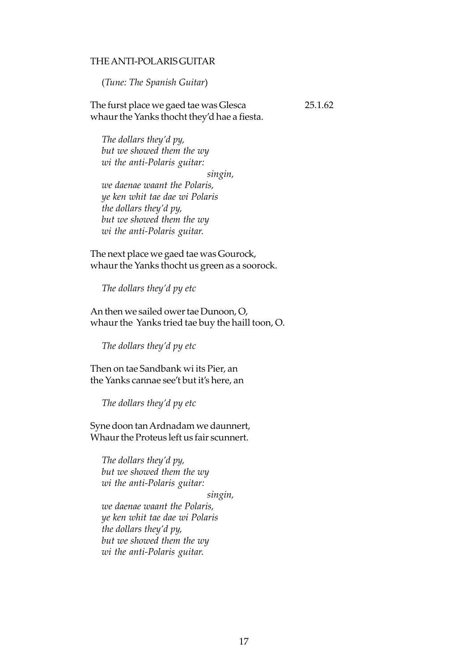## THE ANTI-POLARIS GUITAR

(*Tune: The Spanish Guitar*)

The furst place we gaed tae was Glesca 25.1.62 whaur the Yanks thocht they'd hae a fiesta.

*The dollars they'd py, but we showed them the wy wi the anti-Polaris guitar:*

*singin,*

*we daenae waant the Polaris, ye ken whit tae dae wi Polaris the dollars they'd py, but we showed them the wy wi the anti-Polaris guitar.*

The next place we gaed tae was Gourock, whaur the Yanks thocht us green as a soorock.

*The dollars they'd py etc*

An then we sailed ower tae Dunoon, O, whaur the Yanks tried tae buy the haill toon, O.

*The dollars they'd py etc*

Then on tae Sandbank wi its Pier, an the Yanks cannae see't but it's here, an

*The dollars they'd py etc*

Syne doon tan Ardnadam we daunnert, Whaur the Proteus left us fair scunnert.

*The dollars they'd py, but we showed them the wy wi the anti-Polaris guitar:*

*singin,*

*we daenae waant the Polaris, ye ken whit tae dae wi Polaris the dollars they'd py, but we showed them the wy wi the anti-Polaris guitar.*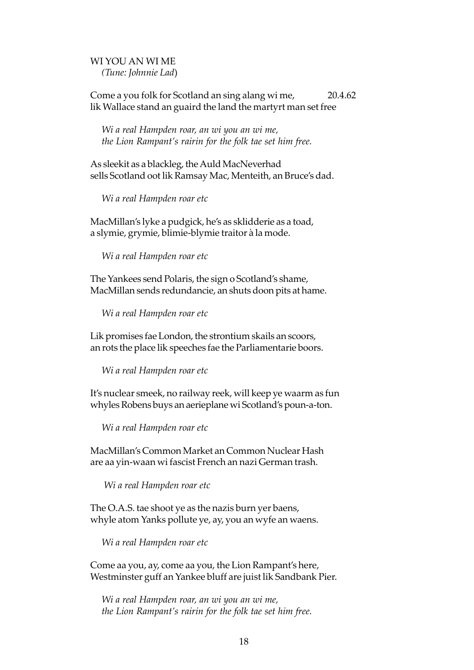# WI YOU AN WI ME *(Tune: Johnnie Lad*)

Come a you folk for Scotland an sing alang wi me, 20.4.62 lik Wallace stand an guaird the land the martyrt man set free

*Wi a real Hampden roar, an wi you an wi me, the Lion Rampant's rairin for the folk tae set him free.*

As sleekit as a blackleg, the Auld MacNeverhad sells Scotland oot lik Ramsay Mac, Menteith, an Bruce's dad.

*Wi a real Hampden roar etc*

MacMillan's lyke a pudgick, he's as sklidderie as a toad, a slymie, grymie, blimie-blymie traitor à la mode.

*Wi a real Hampden roar etc*

The Yankees send Polaris, the sign o Scotland's shame, MacMillan sends redundancie, an shuts doon pits at hame.

*Wi a real Hampden roar etc*

Lik promises fae London, the strontium skails an scoors, an rots the place lik speeches fae the Parliamentarie boors.

*Wi a real Hampden roar etc*

It's nuclear smeek, no railway reek, will keep ye waarm as fun whyles Robens buys an aerieplane wi Scotland's poun-a-ton.

*Wi a real Hampden roar etc*

MacMillan's Common Market an Common Nuclear Hash are aa yin-waan wi fascist French an nazi German trash.

*Wi a real Hampden roar etc*

The O.A.S. tae shoot ye as the nazis burn yer baens, whyle atom Yanks pollute ye, ay, you an wyfe an waens.

*Wi a real Hampden roar etc*

Come aa you, ay, come aa you, the Lion Rampant's here, Westminster guff an Yankee bluff are juist lik Sandbank Pier.

*Wi a real Hampden roar, an wi you an wi me, the Lion Rampant's rairin for the folk tae set him free.*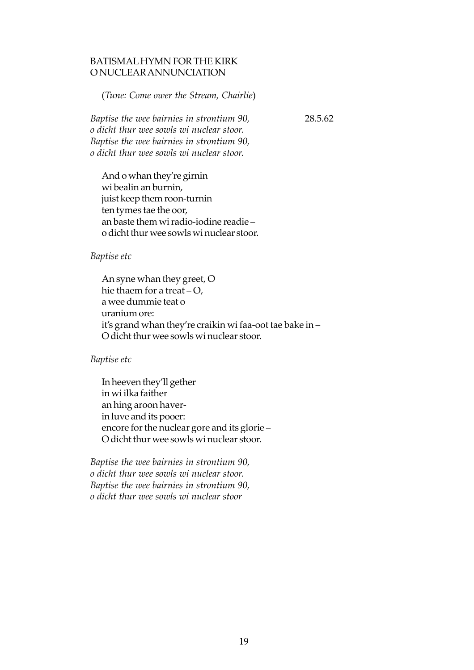# BATISMAL HYMN FOR THE KIRK O NUCLEAR ANNUNCIATION

(*Tune: Come ower the Stream, Chairlie*)

*Baptise the wee bairnies in strontium 90,* 28.5.62 *o dicht thur wee sowls wi nuclear stoor. Baptise the wee bairnies in strontium 90, o dicht thur wee sowls wi nuclear stoor.*

And o whan they're girnin wi bealin an burnin, juist keep them roon-turnin ten tymes tae the oor, an baste them wi radio-iodine readie – o dicht thur wee sowls wi nuclear stoor.

## *Baptise etc*

An syne whan they greet, O hie thaem for a treat  $-O$ , a wee dummie teat o uranium ore: it's grand whan they're craikin wi faa-oot tae bake in – O dicht thur wee sowls wi nuclear stoor.

## *Baptise etc*

In heeven they'll gether in wi ilka faither an hing aroon haverin luve and its pooer: encore for the nuclear gore and its glorie – O dicht thur wee sowls wi nuclear stoor.

*Baptise the wee bairnies in strontium 90, o dicht thur wee sowls wi nuclear stoor. Baptise the wee bairnies in strontium 90, o dicht thur wee sowls wi nuclear stoor*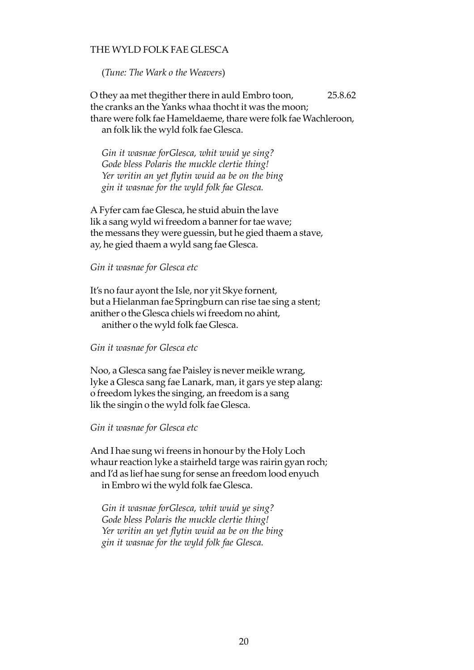# THE WYLD FOLK FAE GLESCA

(*Tune: The Wark o the Weavers*)

O they aa met thegither there in auld Embro toon, 25.8.62 the cranks an the Yanks whaa thocht it was the moon; thare were folk fae Hameldaeme, thare were folk fae Wachleroon, an folk lik the wyld folk fae Glesca.

*Gin it wasnae forGlesca, whit wuid ye sing? Gode bless Polaris the muckle clertie thing! Yer writin an yet flytin wuid aa be on the bing gin it wasnae for the wyld folk fae Glesca.*

A Fyfer cam fae Glesca, he stuid abuin the lave lik a sang wyld wi freedom a banner for tae wave; the messans they were guessin, but he gied thaem a stave, ay, he gied thaem a wyld sang fae Glesca.

*Gin it wasnae for Glesca etc*

It's no faur ayont the Isle, nor yit Skye fornent, but a Hielanman fae Springburn can rise tae sing a stent; anither o the Glesca chiels wi freedom no ahint, anither o the wyld folk fae Glesca.

*Gin it wasnae for Glesca etc*

Noo, a Glesca sang fae Paisley is never meikle wrang, lyke a Glesca sang fae Lanark, man, it gars ye step alang: o freedom lykes the singing, an freedom is a sang lik the singin o the wyld folk fae Glesca.

*Gin it wasnae for Glesca etc*

And I hae sung wi freens in honour by the Holy Loch whaur reaction lyke a stairheId targe was rairin gyan roch; and I'd as lief hae sung for sense an freedom lood enyuch in Embro wi the wyld folk fae Glesca.

*Gin it wasnae forGlesca, whit wuid ye sing? Gode bless Polaris the muckle clertie thing! Yer writin an yet flytin wuid aa be on the bing gin it wasnae for the wyld folk fae Glesca.*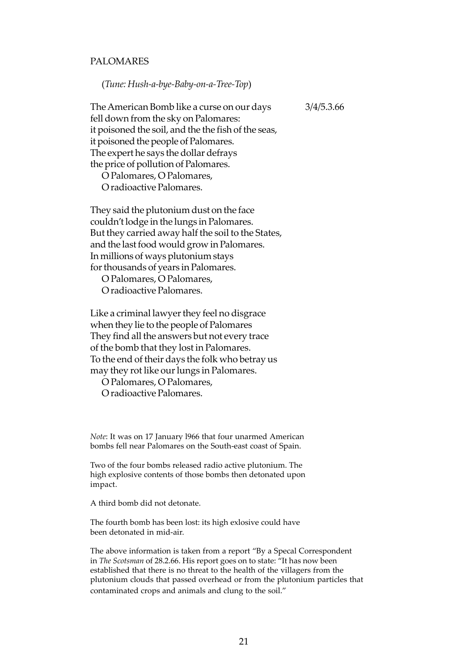## PALOMARES

(*Tune: Hush-a-bye-Baby-on-a-Tree-Top*)

The American Bomb like a curse on our days 3/4/5.3.66 fell down from the sky on Palomares: it poisoned the soil, and the the fish of the seas, it poisoned the people of Palomares. The expert he says the dollar defrays the price of pollution of Palomares.

O Palomares, O Palomares, O radioactive Palomares.

They said the plutonium dust on the face couldn't lodge in the lungs in Palomares. But they carried away half the soil to the States, and the last food would grow in Palomares. In millions of ways plutonium stays for thousands of years in Palomares.

O Palomares, O Palomares, O radioactive Palomares.

Like a criminal lawyer they feel no disgrace when they lie to the people of Palomares They find all the answers but not every trace of the bomb that they lost in Palomares. To the end of their days the folk who betray us may they rot like our lungs in Palomares.

O Palomares, O Palomares, O radioactive Palomares.

*Note*: It was on 17 January l966 that four unarmed American bombs fell near Palomares on the South-east coast of Spain.

Two of the four bombs released radio active plutonium. The high explosive contents of those bombs then detonated upon impact.

A third bomb did not detonate.

The fourth bomb has been lost: its high exlosive could have been detonated in mid-air.

The above information is taken from a report "By a Specal Correspondent in *The Scotsman* of 28.2.66. His report goes on to state: "It has now been established that there is no threat to the health of the villagers from the plutonium clouds that passed overhead or from the plutonium particles that contaminated crops and animals and clung to the soil."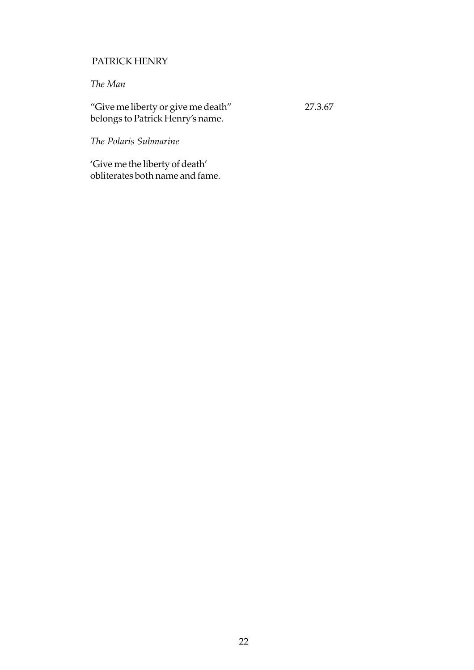# PATRICK HENRY

# *The Man*

"Give me liberty or give me death" 27.3.67 belongs to Patrick Henry's name.

*The Polaris Submarine*

'Give me the liberty of death' obliterates both name and fame.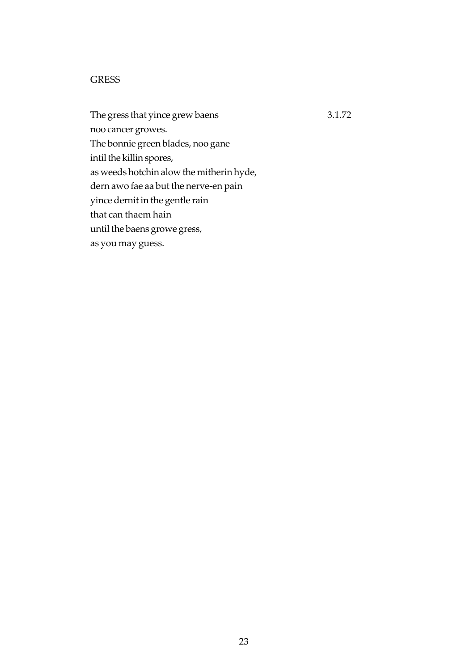# **GRESS**

The gress that yince grew baens 3.1.72 noo cancer growes. The bonnie green blades, noo gane intil the killin spores, as weeds hotchin alow the mitherin hyde, dern awo fae aa but the nerve-en pain yince dernit in the gentle rain that can thaem hain until the baens growe gress, as you may guess.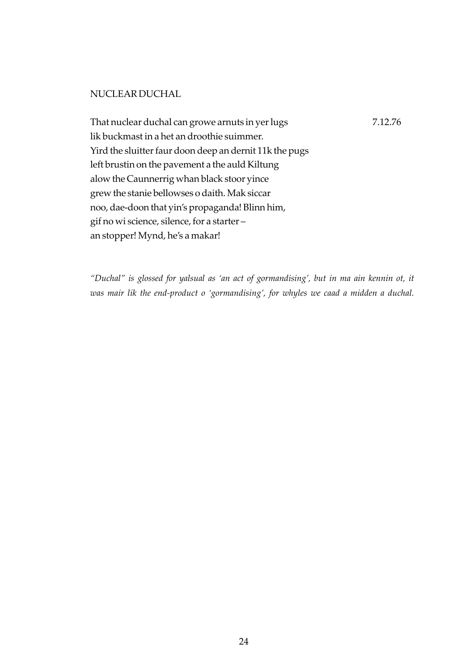# NUCLEAR DUCHAL

That nuclear duchal can growe arnuts in yer lugs 7.12.76 lik buckmast in a het an droothie suimmer. Yird the sluitter faur doon deep an dernit 11k the pugs left brustin on the pavement a the auld Kiltung alow the Caunnerrig whan black stoor yince grew the stanie bellowses o daith. Mak siccar noo, dae-doon that yin's propaganda! Blinn him, gif no wi science, silence, for a starter – an stopper! Mynd, he's a makar!

*"Duchal" is glossed for yalsual as 'an act of gormandising', but in ma ain kennin ot, it was mair lik the end-product o 'gormandising', for whyles we caad a midden a duchal.*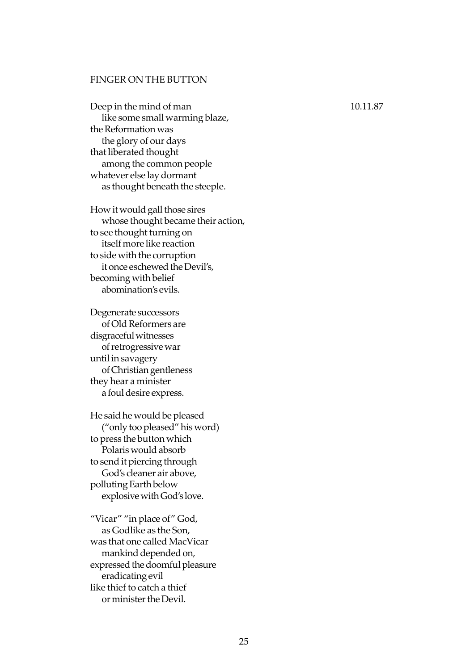### FINGER ON THE BUTTON

Deep in the mind of man 10.11.87 like some small warming blaze, the Reformation was the glory of our days that liberated thought among the common people whatever else lay dormant as thought beneath the steeple.

How it would gall those sires whose thought became their action, to see thought turning on itself more like reaction to side with the corruption it once eschewed the Devil's, becoming with belief abomination's evils.

Degenerate successors of Old Reformers are disgraceful witnesses of retrogressive war until in savagery of Christian gentleness they hear a minister a foul desire express.

He said he would be pleased ("only too pleased" his word) to press the button which Polaris would absorb to send it piercing through God's cleaner air above, polluting Earth below explosive with God's love.

"Vicar" "in place of" God, as Godlike as the Son, was that one called MacVicar mankind depended on, expressed the doomful pleasure eradicating evil like thief to catch a thief or minister the Devil.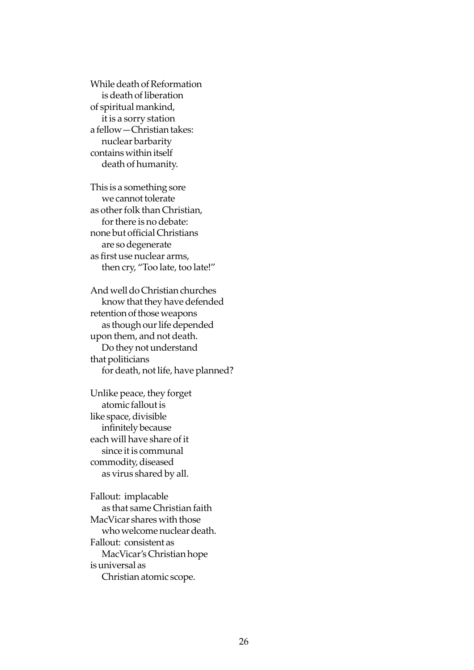While death of Reformation is death of liberation of spiritual mankind, it is a sorry station a fellow—Christian takes: nuclear barbarity contains within itself death of humanity.

This is a something sore we cannot tolerate as other folk than Christian, for there is no debate: none but official Christians are so degenerate as first use nuclear arms, then cry, "Too late, too late!"

And well do Christian churches know that they have defended retention of those weapons as though our life depended upon them, and not death. Do they not understand that politicians for death, not life, have planned?

Unlike peace, they forget atomic fallout is like space, divisible infinitely because each will have share of it since it is communal commodity, diseased as virus shared by all.

Fallout: implacable as that same Christian faith MacVicar shares with those who welcome nuclear death. Fallout: consistent as MacVicar's Christian hope is universal as Christian atomic scope.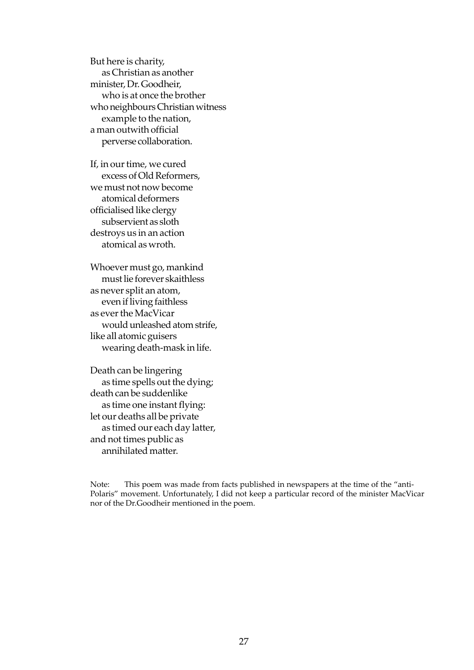But here is charity, as Christian as another minister, Dr. Goodheir, who is at once the brother who neighbours Christian witness example to the nation, a man outwith official perverse collaboration.

If, in our time, we cured excess of Old Reformers, we must not now become atomical deformers officialised like clergy subservient as sloth destroys us in an action atomical as wroth.

Whoever must go, mankind must lie forever skaithless as never split an atom, even if living faithless as ever the MacVicar would unleashed atom strife, like all atomic guisers wearing death-mask in life.

Death can be lingering as time spells out the dying; death can be suddenlike as time one instant flying: let our deaths all be private as timed our each day latter, and not times public as annihilated matter.

Note: This poem was made from facts published in newspapers at the time of the "anti-Polaris" movement. Unfortunately, I did not keep a particular record of the minister MacVicar nor of the Dr.Goodheir mentioned in the poem.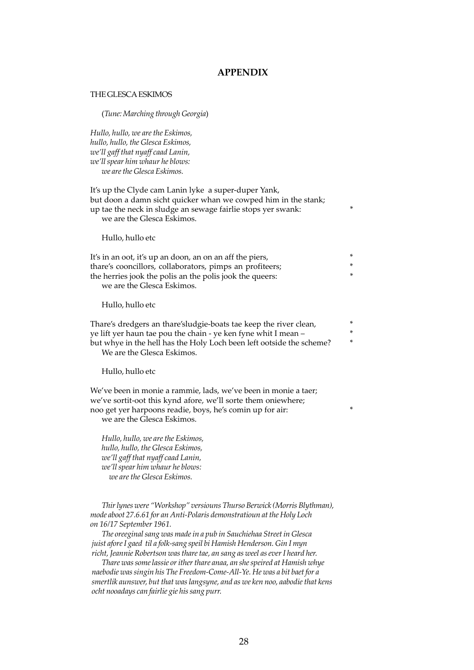#### **APPENDIX**

#### THE GLESCA ESKIMOS

(*Tune: Marching through Georgia*)

*Hullo, hullo, we are the Eskimos, hullo, hullo, the Glesca Eskimos, we'll gaff that nyaff caad Lanin, we'll spear him whaur he blows: we are the Glesca Eskimos.*

It's up the Clyde cam Lanin lyke a super-duper Yank, but doon a damn sicht quicker whan we cowped him in the stank; up tae the neck in sludge an sewage fairlie stops yer swank: \* we are the Glesca Eskimos.

Hullo, hullo etc

| It's in an oot, it's up an doon, an on an aff the piers, |    |
|----------------------------------------------------------|----|
| thare's cooncillors, collaborators, pimps an profiteers; |    |
| the herries jook the polis an the polis jook the queers: | ×. |
| we are the Glesca Eskimos.                               |    |

Hullo, hullo etc

Thare's dredgers an thare'sludgie-boats tae keep the river clean, \* ye lift yer haun tae pou the chain - ye ken fyne whit I mean – \* but whye in the hell has the Holy Loch been left ootside the scheme? \* We are the Glesca Eskimos.

Hullo, hullo etc

We've been in monie a rammie, lads, we've been in monie a taer; we've sortit-oot this kynd afore, we'll sorte them oniewhere; noo get yer harpoons readie, boys, he's comin up for air: \* we are the Glesca Eskimos.

*Hullo, hullo, we are the Eskimos, hullo, hullo, the Glesca Eskimos, we'll gaff that nyaff caad Lanin, we'll spear him whaur he blows: we are the Glesca Eskimos.*

*Thir lynes were "Workshop" versiouns Thurso Berwick (Morris Blythman), mode aboot 27.6.61 for an Anti-Polaris demonstratioun at the Holy Loch on 16/17 September 1961.*

*The oreeginal sang was made in a pub in Sauchiehaa Street in Glesca juist afore I gaed til a folk-sang speil bi Hamish Henderson. Gin I myn richt, Jeannie Robertson was thare tae, an sang as weel as ever I heard her.*

*Thare was some lassie or ither thare anaa, an she speired at Hamish whye naebodie was singin his The Freedom-Come-All-Ye. He was a bit baet for a smertlik aunswer, but that was langsyne, and as we ken noo, aabodie that kens ocht nooadays can fairlie gie his sang purr.*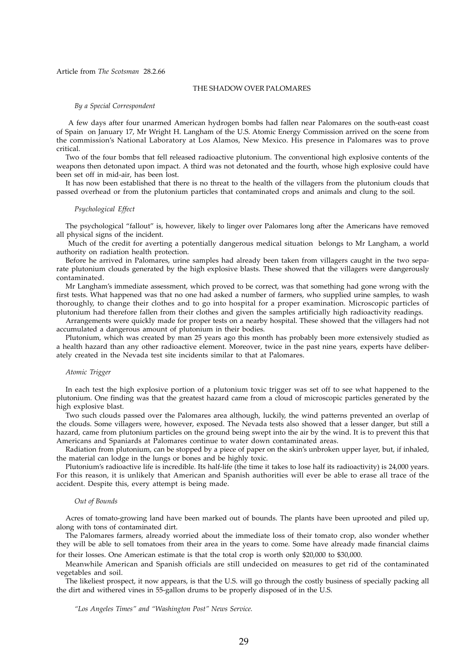#### Article from *The Scotsman* 28.2.66

#### THE SHADOW OVER PALOMARES

#### *By a Special Correspondent*

 A few days after four unarmed American hydrogen bombs had fallen near Palomares on the south-east coast of Spain on January 17, Mr Wright H. Langham of the U.S. Atomic Energy Commission arrived on the scene from the commission's National Laboratory at Los Alamos, New Mexico. His presence in Palomares was to prove critical.

Two of the four bombs that fell released radioactive plutonium. The conventional high explosive contents of the weapons then detonated upon impact. A third was not detonated and the fourth, whose high explosive could have been set off in mid-air, has been lost.

It has now been established that there is no threat to the health of the villagers from the plutonium clouds that passed overhead or from the plutonium particles that contaminated crops and animals and clung to the soil.

#### *Psychological Effect*

The psychological "fallout" is, however, likely to linger over Palomares long after the Americans have removed all physical signs of the incident.

 Much of the credit for averting a potentially dangerous medical situation belongs to Mr Langham, a world authority on radiation health protection.

Before he arrived in Palomares, urine samples had already been taken from villagers caught in the two separate plutonium clouds generated by the high explosive blasts. These showed that the villagers were dangerously contaminated.

Mr Langham's immediate assessment, which proved to be correct, was that something had gone wrong with the first tests. What happened was that no one had asked a number of farmers, who supplied urine samples, to wash thoroughly, to change their clothes and to go into hospital for a proper examination. Microscopic particles of plutonium had therefore fallen from their clothes and given the samples artificially high radioactivity readings.

Arrangements were quickly made for proper tests on a nearby hospital. These showed that the villagers had not accumulated a dangerous amount of plutonium in their bodies.

Plutonium, which was created by man 25 years ago this month has probably been more extensively studied as a health hazard than any other radioactive element. Moreover, twice in the past nine years, experts have deliberately created in the Nevada test site incidents similar to that at Palomares.

#### *Atomic Trigger*

In each test the high explosive portion of a plutonium toxic trigger was set off to see what happened to the plutonium. One finding was that the greatest hazard came from a cloud of microscopic particles generated by the high explosive blast.

Two such clouds passed over the Palomares area although, luckily, the wind patterns prevented an overlap of the clouds. Some villagers were, however, exposed. The Nevada tests also showed that a lesser danger, but still a hazard, came from plutonium particles on the ground being swept into the air by the wind. It is to prevent this that Americans and Spaniards at Palomares continue to water down contaminated areas.

Radiation from plutonium, can be stopped by a piece of paper on the skin's unbroken upper layer, but, if inhaled, the material can lodge in the lungs or bones and be highly toxic.

Plutonium's radioactive life is incredible. Its half-life (the time it takes to lose half its radioactivity) is 24,000 years. For this reason, it is unlikely that American and Spanish authorities will ever be able to erase all trace of the accident. Despite this, every attempt is being made.

#### *Out of Bounds*

Acres of tomato-growing land have been marked out of bounds. The plants have been uprooted and piled up, along with tons of contaminated dirt.

The Palomares farmers, already worried about the immediate loss of their tomato crop, also wonder whether they will be able to sell tomatoes from their area in the years to come. Some have already made financial claims for their losses. One American estimate is that the total crop is worth only \$20,000 to \$30,000.

Meanwhile American and Spanish officials are still undecided on measures to get rid of the contaminated vegetables and soil.

The likeliest prospect, it now appears, is that the U.S. will go through the costly business of specially packing all the dirt and withered vines in 55-gallon drums to be properly disposed of in the U.S.

*"Los Angeles Times" and "Washington Post" News Service.*